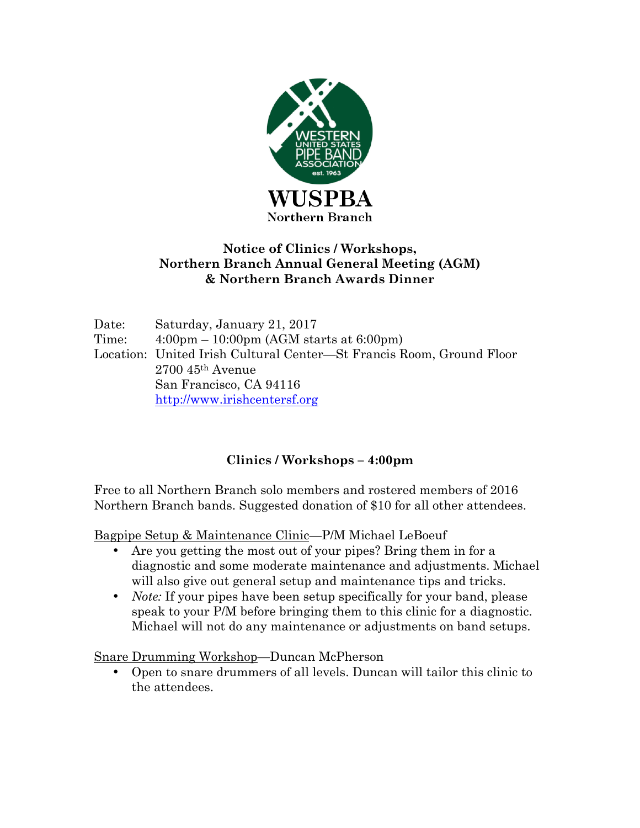

## **Notice of Clinics / Workshops, Northern Branch Annual General Meeting (AGM) & Northern Branch Awards Dinner**

Date: Saturday, January 21, 2017 Time: 4:00pm – 10:00pm (AGM starts at 6:00pm) Location: United Irish Cultural Center—St Francis Room, Ground Floor 2700 45th Avenue San Francisco, CA 94116 http://www.irishcentersf.org

# **Clinics / Workshops – 4:00pm**

Free to all Northern Branch solo members and rostered members of 2016 Northern Branch bands. Suggested donation of \$10 for all other attendees.

Bagpipe Setup & Maintenance Clinic—P/M Michael LeBoeuf

- Are you getting the most out of your pipes? Bring them in for a diagnostic and some moderate maintenance and adjustments. Michael will also give out general setup and maintenance tips and tricks.
- *Note:* If your pipes have been setup specifically for your band, please speak to your P/M before bringing them to this clinic for a diagnostic. Michael will not do any maintenance or adjustments on band setups.

Snare Drumming Workshop—Duncan McPherson

• Open to snare drummers of all levels. Duncan will tailor this clinic to the attendees.